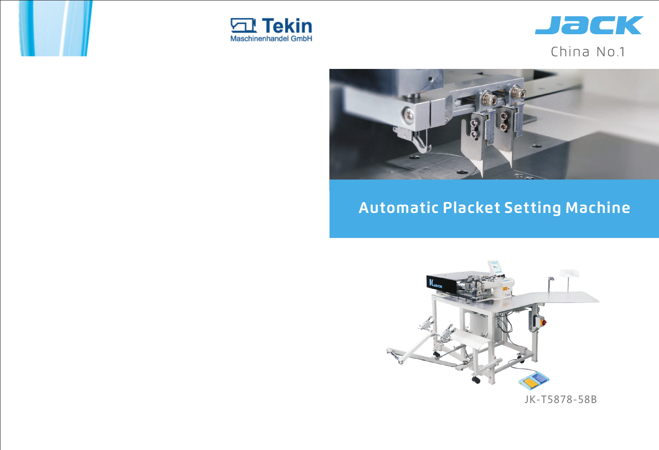JK-T5878-58B



# **Automatic Placket Setting Machine**